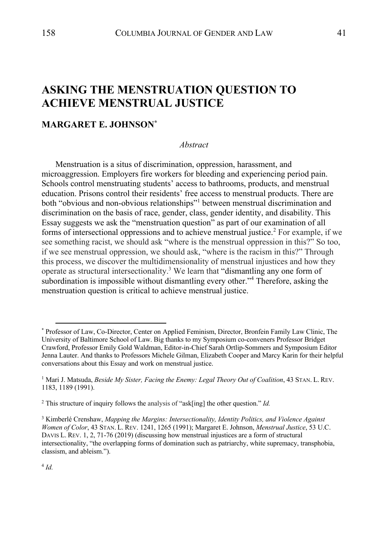# **ASKING THE MENSTRUATION QUESTION TO ACHIEVE MENSTRUAL JUSTICE**

# **MARGARET E. JOHNSON\***

### *Abstract*

Menstruation is a situs of discrimination, oppression, harassment, and microaggression. Employers fire workers for bleeding and experiencing period pain. Schools control menstruating students' access to bathrooms, products, and menstrual education. Prisons control their residents' free access to menstrual products. There are both "obvious and non-obvious relationships"<sup>1</sup> between menstrual discrimination and discrimination on the basis of race, gender, class, gender identity, and disability. This Essay suggests we ask the "menstruation question" as part of our examination of all forms of intersectional oppressions and to achieve menstrual justice.<sup>2</sup> For example, if we see something racist, we should ask "where is the menstrual oppression in this?" So too, if we see menstrual oppression, we should ask, "where is the racism in this?" Through this process, we discover the multidimensionality of menstrual injustices and how they operate as structural intersectionality.<sup>3</sup> We learn that "dismantling any one form of subordination is impossible without dismantling every other."<sup>4</sup> Therefore, asking the menstruation question is critical to achieve menstrual justice.

<sup>4</sup> *Id.*

<sup>\*</sup> Professor of Law, Co-Director, Center on Applied Feminism, Director, Bronfein Family Law Clinic, The University of Baltimore School of Law. Big thanks to my Symposium co-conveners Professor Bridget Crawford, Professor Emily Gold Waldman, Editor-in-Chief Sarah Ortlip-Sommers and Symposium Editor Jenna Lauter. And thanks to Professors Michele Gilman, Elizabeth Cooper and Marcy Karin for their helpful conversations about this Essay and work on menstrual justice.

<sup>1</sup> Mari J. Matsuda, *Beside My Sister, Facing the Enemy: Legal Theory Out of Coalition*, 43 STAN. L. REV. 1183, 1189 (1991).

<sup>2</sup> This structure of inquiry follows the analysis of "ask[ing] the other question." *Id.*

<sup>3</sup> Kimberlé Crenshaw, *Mapping the Margins: Intersectionality, Identity Politics, and Violence Against Women of Color*, 43 STAN. L. REV. 1241, 1265 (1991); Margaret E. Johnson, *Menstrual Justice*, 53 U.C. DAVIS L. REV. 1, 2, 71-76 (2019) (discussing how menstrual injustices are a form of structural intersectionality, "the overlapping forms of domination such as patriarchy, white supremacy, transphobia, classism, and ableism.").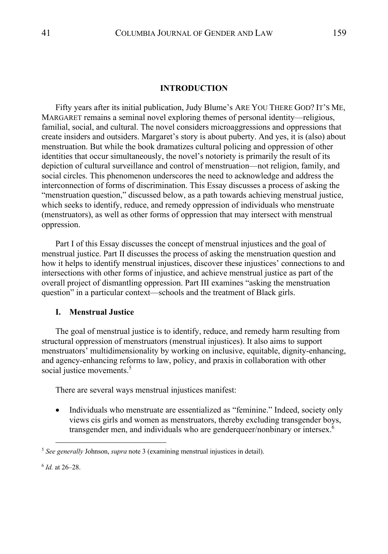#### **INTRODUCTION**

Fifty years after its initial publication, Judy Blume's ARE YOU THERE GOD? IT'S ME, MARGARET remains a seminal novel exploring themes of personal identity—religious, familial, social, and cultural. The novel considers microaggressions and oppressions that create insiders and outsiders. Margaret's story is about puberty. And yes, it is (also) about menstruation. But while the book dramatizes cultural policing and oppression of other identities that occur simultaneously, the novel's notoriety is primarily the result of its depiction of cultural surveillance and control of menstruation—not religion, family, and social circles. This phenomenon underscores the need to acknowledge and address the interconnection of forms of discrimination. This Essay discusses a process of asking the "menstruation question," discussed below, as a path towards achieving menstrual justice, which seeks to identify, reduce, and remedy oppression of individuals who menstruate (menstruators), as well as other forms of oppression that may intersect with menstrual oppression.

Part I of this Essay discusses the concept of menstrual injustices and the goal of menstrual justice. Part II discusses the process of asking the menstruation question and how it helps to identify menstrual injustices, discover these injustices' connections to and intersections with other forms of injustice, and achieve menstrual justice as part of the overall project of dismantling oppression. Part III examines "asking the menstruation question" in a particular context—schools and the treatment of Black girls.

#### **I. Menstrual Justice**

The goal of menstrual justice is to identify, reduce, and remedy harm resulting from structural oppression of menstruators (menstrual injustices). It also aims to support menstruators' multidimensionality by working on inclusive, equitable, dignity-enhancing, and agency-enhancing reforms to law, policy, and praxis in collaboration with other social justice movements.<sup>5</sup>

There are several ways menstrual injustices manifest:

• Individuals who menstruate are essentialized as "feminine." Indeed, society only views cis girls and women as menstruators, thereby excluding transgender boys, transgender men, and individuals who are genderqueer/nonbinary or intersex.<sup>6</sup>

<sup>5</sup> *See generally* Johnson, *supra* note 3 (examining menstrual injustices in detail).

<sup>6</sup> *Id.* at 26–28.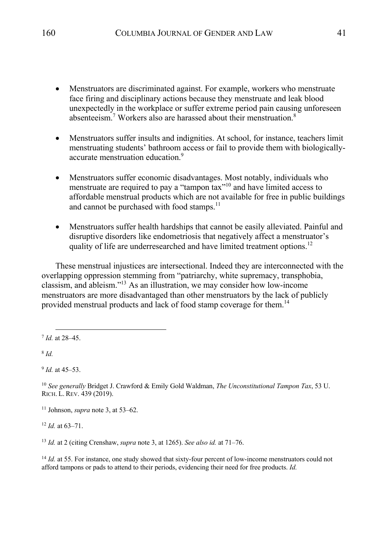- Menstruators are discriminated against. For example, workers who menstruate face firing and disciplinary actions because they menstruate and leak blood unexpectedly in the workplace or suffer extreme period pain causing unforeseen absenteeism.<sup>7</sup> Workers also are harassed about their menstruation.<sup>8</sup>
- Menstruators suffer insults and indignities. At school, for instance, teachers limit menstruating students' bathroom access or fail to provide them with biologicallyaccurate menstruation education.<sup>9</sup>
- Menstruators suffer economic disadvantages. Most notably, individuals who menstruate are required to pay a "tampon tax"<sup>10</sup> and have limited access to affordable menstrual products which are not available for free in public buildings and cannot be purchased with food stamps.<sup>11</sup>
- Menstruators suffer health hardships that cannot be easily alleviated. Painful and disruptive disorders like endometriosis that negatively affect a menstruator's quality of life are underresearched and have limited treatment options.<sup>12</sup>

These menstrual injustices are intersectional. Indeed they are interconnected with the overlapping oppression stemming from "patriarchy, white supremacy, transphobia, classism, and ableism."13 As an illustration, we may consider how low-income menstruators are more disadvantaged than other menstruators by the lack of publicly provided menstrual products and lack of food stamp coverage for them.<sup>14</sup>

<sup>8</sup> *Id.* 

<sup>9</sup> *Id.* at 45–53.

<sup>10</sup> *See generally* Bridget J. Crawford & Emily Gold Waldman, *The Unconstitutional Tampon Tax*, 53 U. RICH. L. REV. 439 (2019).

<sup>11</sup> Johnson, *supra* note 3, at 53–62.

<sup>12</sup> *Id.* at 63–71.

<sup>13</sup> *Id.* at 2 (citing Crenshaw, *supra* note 3, at 1265). *See also id.* at 71–76.

<sup>14</sup> *Id.* at 55. For instance, one study showed that sixty-four percent of low-income menstruators could not afford tampons or pads to attend to their periods, evidencing their need for free products. *Id.*

<sup>7</sup> *Id.* at 28–45.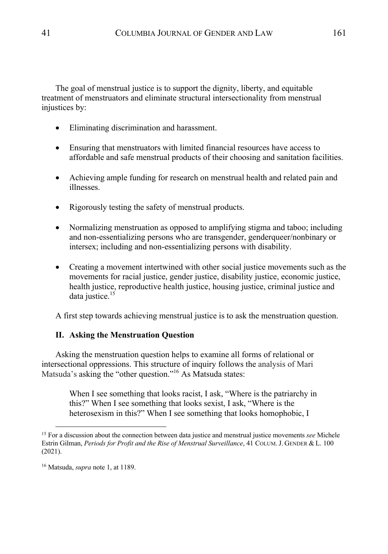The goal of menstrual justice is to support the dignity, liberty, and equitable treatment of menstruators and eliminate structural intersectionality from menstrual injustices by:

- Eliminating discrimination and harassment.
- Ensuring that menstruators with limited financial resources have access to affordable and safe menstrual products of their choosing and sanitation facilities.
- Achieving ample funding for research on menstrual health and related pain and illnesses.
- Rigorously testing the safety of menstrual products.
- Normalizing menstruation as opposed to amplifying stigma and taboo; including and non-essentializing persons who are transgender, genderqueer/nonbinary or intersex; including and non-essentializing persons with disability.
- Creating a movement intertwined with other social justice movements such as the movements for racial justice, gender justice, disability justice, economic justice, health justice, reproductive health justice, housing justice, criminal justice and data justice.<sup>15</sup>

A first step towards achieving menstrual justice is to ask the menstruation question.

# **II. Asking the Menstruation Question**

Asking the menstruation question helps to examine all forms of relational or intersectional oppressions. This structure of inquiry follows the analysis of Mari Matsuda's asking the "other question."16 As Matsuda states:

> When I see something that looks racist, I ask, "Where is the patriarchy in this?" When I see something that looks sexist, I ask, "Where is the heterosexism in this?" When I see something that looks homophobic, I

<sup>15</sup> For a discussion about the connection between data justice and menstrual justice movements *see* Michele Estrin Gilman, *Periods for Profit and the Rise of Menstrual Surveillance*, 41 COLUM.J. GENDER & L. 100 (2021).

<sup>16</sup> Matsuda, *supra* note 1, at 1189.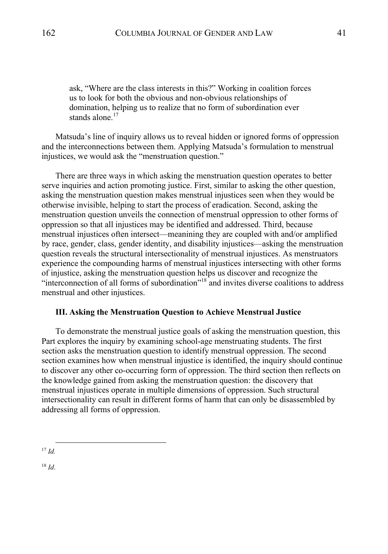ask, "Where are the class interests in this?" Working in coalition forces us to look for both the obvious and non-obvious relationships of domination, helping us to realize that no form of subordination ever stands alone. $17$ 

Matsuda's line of inquiry allows us to reveal hidden or ignored forms of oppression and the interconnections between them. Applying Matsuda's formulation to menstrual injustices, we would ask the "menstruation question."

There are three ways in which asking the menstruation question operates to better serve inquiries and action promoting justice. First, similar to asking the other question, asking the menstruation question makes menstrual injustices seen when they would be otherwise invisible, helping to start the process of eradication. Second, asking the menstruation question unveils the connection of menstrual oppression to other forms of oppression so that all injustices may be identified and addressed. Third, because menstrual injustices often intersect—meanining they are coupled with and/or amplified by race, gender, class, gender identity, and disability injustices—asking the menstruation question reveals the structural intersectionality of menstrual injustices. As menstruators experience the compounding harms of menstrual injustices intersecting with other forms of injustice, asking the menstruation question helps us discover and recognize the "interconnection of all forms of subordination"<sup>18</sup> and invites diverse coalitions to address menstrual and other injustices.

# **III. Asking the Menstruation Question to Achieve Menstrual Justice**

To demonstrate the menstrual justice goals of asking the menstruation question, this Part explores the inquiry by examining school-age menstruating students. The first section asks the menstruation question to identify menstrual oppression. The second section examines how when menstrual injustice is identified, the inquiry should continue to discover any other co-occurring form of oppression. The third section then reflects on the knowledge gained from asking the menstruation question: the discovery that menstrual injustices operate in multiple dimensions of oppression. Such structural intersectionality can result in different forms of harm that can only be disassembled by addressing all forms of oppression.

<sup>18</sup> *Id*.

<sup>17</sup> *Id.*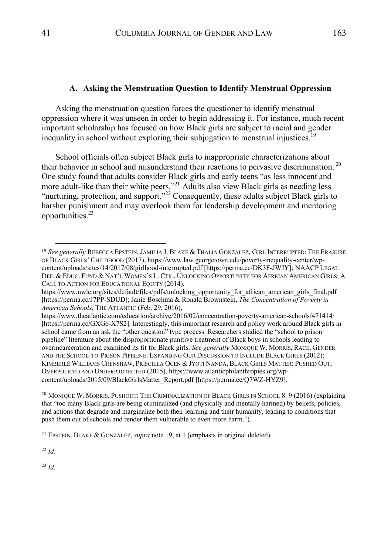#### **A. Asking the Menstruation Question to Identify Menstrual Oppression**

Asking the menstruation question forces the questioner to identify menstrual oppression where it was unseen in order to begin addressing it. For instance, much recent important scholarship has focused on how Black girls are subject to racial and gender inequality in school without exploring their subjugation to menstrual injustices. 19

School officials often subject Black girls to inappropriate characterizations about their behavior in school and misunderstand their reactions to pervasive discrimination.<sup>20</sup> One study found that adults consider Black girls and early teens "as less innocent and more adult-like than their white peers."21 Adults also view Black girls as needing less "nurturing, protection, and support."<sup>22</sup> Consequently, these adults subject Black girls to harsher punishment and may overlook them for leadership development and mentoring opportunities.23

https://www.theatlantic.com/education/archive/2016/02/concentration-poverty-american-schools/471414/ [https://perma.cc/GXG6-X7S2]. Interestingly, this important research and policy work around Black girls in school came from an ask the "other question" type process. Researchers studied the "school to prison pipeline" literature about the disproportionate punitive treatment of Black boys in schools leading to overincarceration and examined its fit for Black girls. *See generally* MONIQUE W. MORRIS, RACE, GENDER AND THE SCHOOL-TO-PRISON PIPELINE: EXPANDING OUR DISCUSSION TO INCLUDE BLACK GIRLS (2012); KIMBERLÉ WILLIAMS CRENSHAW, PRISCILLA OCEN & JYOTI NANDA, BLACK GIRLS MATTER: PUSHED OUT, OVERPOLICED AND UNDERPROTECTED (2015), https://www.atlanticphilanthropies.org/wpcontent/uploads/2015/09/BlackGirlsMatter\_Report.pdf [https://perma.cc/Q7WZ-HYZ9].

<sup>20</sup> MONIQUE W. MORRIS, PUSHOUT: THE CRIMINALIZATION OF BLACK GIRLS IN SCHOOL 8–9 (2016) (explaining that "too many Black girls are being criminalized (and physically and mentally harmed) by beliefs, policies, and actions that degrade and marginalize both their learning and their humanity, leading to conditions that push them out of schools and render them vulnerable to even more harm.").

<sup>22</sup> *Id.*

<sup>23</sup> *Id.*

<sup>19</sup> *See generally* REBECCA EPSTEIN,JAMILIA J. BLAKE & THALIA GONZÁLEZ, GIRL INTERRUPTED: THE ERASURE OF BLACK GIRLS' CHILDHOOD (2017), https://www.law.georgetown.edu/poverty-inequality-center/wpcontent/uploads/sites/14/2017/08/girlhood-interrupted.pdf [https://perma.cc/DK3F-JWJY]; NAACP LEGAL DEF. & EDUC. FUND & NAT'L WOMEN'S L. CTR., UNLOCKING OPPORTUNITY FOR AFRICAN AMERICAN GIRLS: A CALL TO ACTION FOR EDUCATIONAL EQUITY (2014),

https://www.nwlc.org/sites/default/files/pdfs/unlocking\_opportunity\_for\_african\_american\_girls\_final.pdf [https://perma.cc/J7PP-SDUD]; Janie Boschma & Ronald Brownstein, *The Concentration of Poverty in American Schools*, THE ATLANTIC (Feb. 29, 2016),

<sup>21</sup> EPSTEIN, BLAKE & GONZÁLEZ, *supra* note 19, at 1 (emphasis in original deleted).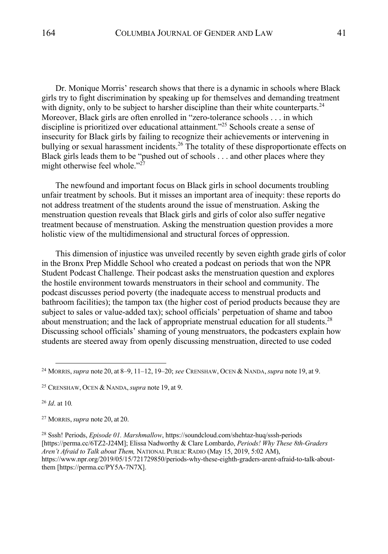Dr. Monique Morris' research shows that there is a dynamic in schools where Black girls try to fight discrimination by speaking up for themselves and demanding treatment with dignity, only to be subject to harsher discipline than their white counterparts.<sup>24</sup> Moreover, Black girls are often enrolled in "zero-tolerance schools . . . in which discipline is prioritized over educational attainment."<sup>25</sup> Schools create a sense of insecurity for Black girls by failing to recognize their achievements or intervening in bullying or sexual harassment incidents.<sup>26</sup> The totality of these disproportionate effects on Black girls leads them to be "pushed out of schools . . . and other places where they might otherwise feel whole." $^{27}$ 

The newfound and important focus on Black girls in school documents troubling unfair treatment by schools. But it misses an important area of inequity: these reports do not address treatment of the students around the issue of menstruation. Asking the menstruation question reveals that Black girls and girls of color also suffer negative treatment because of menstruation. Asking the menstruation question provides a more holistic view of the multidimensional and structural forces of oppression.

This dimension of injustice was unveiled recently by seven eighth grade girls of color in the Bronx Prep Middle School who created a podcast on periods that won the NPR Student Podcast Challenge. Their podcast asks the menstruation question and explores the hostile environment towards menstruators in their school and community. The podcast discusses period poverty (the inadequate access to menstrual products and bathroom facilities); the tampon tax (the higher cost of period products because they are subject to sales or value-added tax); school officials' perpetuation of shame and taboo about menstruation; and the lack of appropriate menstrual education for all students.<sup>28</sup> Discussing school officials' shaming of young menstruators, the podcasters explain how students are steered away from openly discussing menstruation, directed to use coded

<sup>26</sup> *Id*. at 10*.*

<sup>28</sup> Sssh! Periods, *Episode 01. Marshmallow*, https://soundcloud.com/shehtaz-huq/sssh-periods [https://perma.cc/6TZ2-J24M]; Elissa Nadworthy & Clare Lombardo, *Periods! Why These 8th-Graders Aren't Afraid to Talk about Them,* NATIONAL PUBLIC RADIO (May 15, 2019, 5:02 AM), https://www.npr.org/2019/05/15/721729850/periods-why-these-eighth-graders-arent-afraid-to-talk-aboutthem [https://perma.cc/PY5A-7N7X].

<sup>24</sup> MORRIS,*supra* note 20, at 8–9, 11–12, 19–20; *see* CRENSHAW, OCEN & NANDA,*supra* note 19, at 9.

<sup>25</sup> CRENSHAW, OCEN & NANDA,*supra* note 19, at 9.

<sup>27</sup> MORRIS,*supra* note 20, at 20.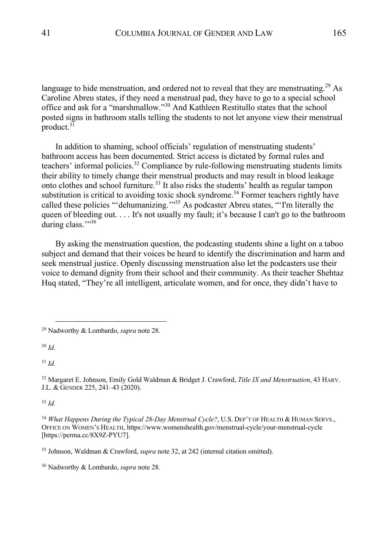language to hide menstruation, and ordered not to reveal that they are menstruating.<sup>29</sup> As Caroline Abreu states, if they need a menstrual pad, they have to go to a special school office and ask for a "marshmallow."<sup>30</sup> And Kathleen Restitullo states that the school posted signs in bathroom stalls telling the students to not let anyone view their menstrual product. $3\overline{1}$ 

In addition to shaming, school officials' regulation of menstruating students' bathroom access has been documented. Strict access is dictated by formal rules and teachers' informal policies.<sup>32</sup> Compliance by rule-following menstruating students limits their ability to timely change their menstrual products and may result in blood leakage onto clothes and school furniture.<sup>33</sup> It also risks the students' health as regular tampon substitution is critical to avoiding toxic shock syndrome.<sup>34</sup> Former teachers rightly have called these policies "'dehumanizing.'"<sup>35</sup> As podcaster Abreu states, "'I'm literally the queen of bleeding out. . . . It's not usually my fault; it's because I can't go to the bathroom during class.""<sup>36</sup>

By asking the menstruation question, the podcasting students shine a light on a taboo subject and demand that their voices be heard to identify the discrimination and harm and seek menstrual justice. Openly discussing menstruation also let the podcasters use their voice to demand dignity from their school and their community. As their teacher Shehtaz Huq stated, "They're all intelligent, articulate women, and for once, they didn't have to

<sup>30</sup> *Id*.

<sup>31</sup> *Id.*

<sup>32</sup> Margaret E. Johnson, Emily Gold Waldman & Bridget J. Crawford, *Title IX and Menstruation*, 43 HARV. J.L. & GENDER 225, 241–43 (2020).

<sup>33</sup> *Id.*

<sup>34</sup> *What Happens During the Typical 28-Day Menstrual Cycle?*, U.S. DEP'T OF HEALTH & HUMAN SERVS., OFFICE ON WOMEN'S HEALTH, https://www.womenshealth.gov/menstrual-cycle/your-menstrual-cycle [https://perma.cc/8X9Z-PYU7].

<sup>35</sup> Johnson, Waldman & Crawford, *supra* note 32, at 242 (internal citation omitted).

<sup>36</sup> Nadworthy & Lombardo, *supra* note 28.

<sup>29</sup> Nadworthy & Lombardo, *supra* note 28.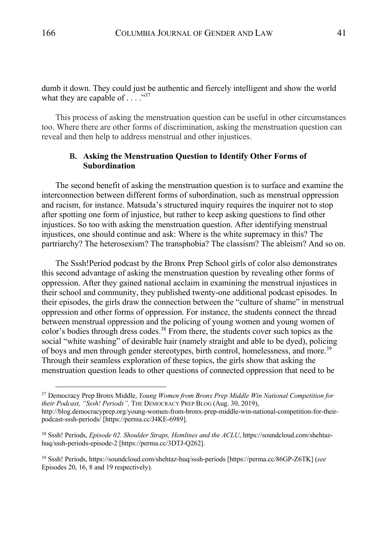dumb it down. They could just be authentic and fiercely intelligent and show the world what they are capable of  $\dots$ ."<sup>37</sup>

This process of asking the menstruation question can be useful in other circumstances too. Where there are other forms of discrimination, asking the menstruation question can reveal and then help to address menstrual and other injustices.

#### **B. Asking the Menstruation Question to Identify Other Forms of Subordination**

The second benefit of asking the menstruation question is to surface and examine the interconnection between different forms of subordination, such as menstrual oppression and racism, for instance. Matsuda's structured inquiry requires the inquirer not to stop after spotting one form of injustice, but rather to keep asking questions to find other injustices. So too with asking the menstruation question. After identifying menstrual injustices, one should continue and ask: Where is the white supremacy in this? The partriarchy? The heterosexism? The transphobia? The classism? The ableism? And so on.

The Sssh!Period podcast by the Bronx Prep School girls of color also demonstrates this second advantage of asking the menstruation question by revealing other forms of oppression. After they gained national acclaim in examining the menstrual injustices in their school and community, they published twenty-one additional podcast episodes. In their episodes, the girls draw the connection between the "culture of shame" in menstrual oppression and other forms of oppression. For instance, the students connect the thread between menstrual oppression and the policing of young women and young women of color's bodies through dress codes.<sup>38</sup> From there, the students cover such topics as the social "white washing" of desirable hair (namely straight and able to be dyed), policing of boys and men through gender stereotypes, birth control, homelessness, and more.<sup>39</sup> Through their seamless exploration of these topics, the girls show that asking the menstruation question leads to other questions of connected oppression that need to be

<sup>37</sup> Democracy Prep Bronx Middle, *Young Women from Bronx Prep Middle Win National Competition for their Podcast, "Sssh! Periods",* THE DEMOCRACY PREP BLOG (Aug. 30, 2019), http://blog.democracyprep.org/young-women-from-bronx-prep-middle-win-national-competition-for-theirpodcast-sssh-periods/ [https://perma.cc/J4KE-6989].

<sup>38</sup> Sssh! Periods, *Episode 02. Shoulder Straps, Hemlines and the ACLU*, https://soundcloud.com/shehtazhuq/sssh-periods-episode-2 [https://perma.cc/3DTJ-Q262].

<sup>39</sup> Sssh! Periods, https://soundcloud.com/shehtaz-huq/sssh-periods [https://perma.cc/86GP-Z6TK] (*see* Episodes 20, 16, 8 and 19 respectively).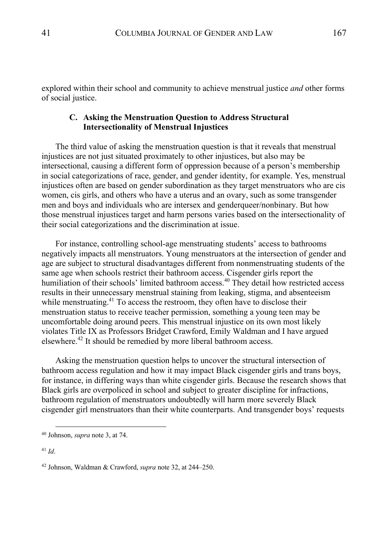explored within their school and community to achieve menstrual justice *and* other forms of social justice.

# **C. Asking the Menstruation Question to Address Structural Intersectionality of Menstrual Injustices**

The third value of asking the menstruation question is that it reveals that menstrual injustices are not just situated proximately to other injustices, but also may be intersectional, causing a different form of oppression because of a person's membership in social categorizations of race, gender, and gender identity, for example. Yes, menstrual injustices often are based on gender subordination as they target menstruators who are cis women, cis girls, and others who have a uterus and an ovary, such as some transgender men and boys and individuals who are intersex and genderqueer/nonbinary. But how those menstrual injustices target and harm persons varies based on the intersectionality of their social categorizations and the discrimination at issue.

For instance, controlling school-age menstruating students' access to bathrooms negatively impacts all menstruators. Young menstruators at the intersection of gender and age are subject to structural disadvantages different from nonmenstruating students of the same age when schools restrict their bathroom access. Cisgender girls report the humiliation of their schools' limited bathroom access.<sup>40</sup> They detail how restricted access results in their unnecessary menstrual staining from leaking, stigma, and absenteeism while menstruating.<sup>41</sup> To access the restroom, they often have to disclose their menstruation status to receive teacher permission, something a young teen may be uncomfortable doing around peers. This menstrual injustice on its own most likely violates Title IX as Professors Bridget Crawford, Emily Waldman and I have argued elsewhere.<sup>42</sup> It should be remedied by more liberal bathroom access.

Asking the menstruation question helps to uncover the structural intersection of bathroom access regulation and how it may impact Black cisgender girls and trans boys, for instance, in differing ways than white cisgender girls. Because the research shows that Black girls are overpoliced in school and subject to greater discipline for infractions, bathroom regulation of menstruators undoubtedly will harm more severely Black cisgender girl menstruators than their white counterparts. And transgender boys' requests

<sup>40</sup> Johnson, *supra* note 3, at 74.

<sup>41</sup> *Id*.

<sup>42</sup> Johnson, Waldman & Crawford, *supra* note 32, at 244–250.